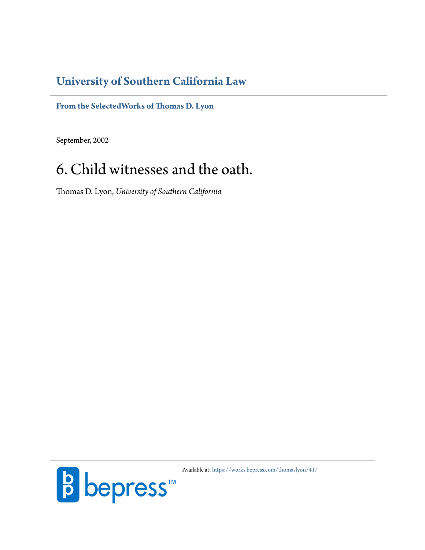## **[University of Southern California Law](http://gould.usc.edu/)**

**[From the SelectedWorks of Thomas D. Lyon](https://works.bepress.com/thomaslyon/)**

September, 2002

# 6. Child witnesses and the oath.

Thomas D. Lyon, *University of Southern California*



Available at: <https://works.bepress.com/thomaslyon/41/>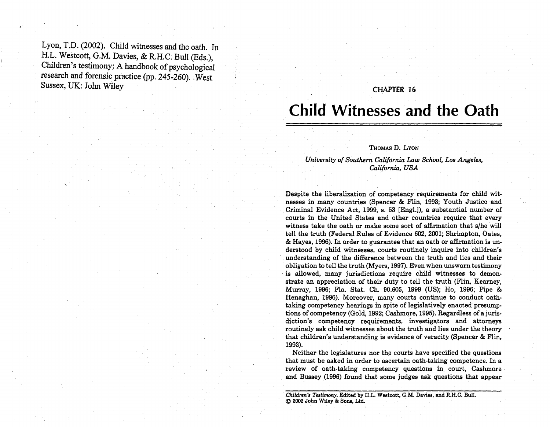Lyon, T.D. (2002). Child witnesses and the oath. In H.L. Westcott, G.M. Davies, & R.H.C: Bull (Eds.), Children's testimony: A handbook of psychological research and forensic practice (pp. 245-260). West Sussex, UK: John Wiley **CHAPTER** 16

## **Child Witnesses and the Oath**

#### THOMAS D. LYON

*University of Southern California Law School, Los Angeles, California, USA*

Despite the liberalization of competency requirements for child witnesses in many countries (Spencer & Flin, 1993; Youth Justice and Criminal Evidence Act, 1999, s. 53 [Engl.]), a substantial number of courts in the United States and other countries require that every witness take the oath or make some sort of affirmation that s/he will tell the truth (Federal Rules of Evidence 602, 2001; Shrimpton, Oates, & Hayes, 1996).In order to guarantee that an oath or affirmation is understood by child witnesses, courts routinely inquire into children's understanding of the difference between the truth and lies and their obligation to tell the truth (Myers, 1997).Even when unsworn testimony . is allowed, many jurisdictions require child witnesses to demonstrate an appreciation of their duty to tell the truth (Flin, Kearney, Murray, 1996; Fla. Stat. Ch. 90.605, 1999 (US); Ho, 1996; Pipe & Henaghan, 1996). Moreover, many courts continue to conduct oathtaking competency hearings in spite of legislatively enacted presumptions of competency (Gold, 1992; Cashmore, 1995). Regardless of a jurisdiction's competency requirements, investigators and attorneys routinely ask child witnesses about the truth and lies under the theory that children's understanding is evidence of veracity (Spencer & Flin, 1993).

Neither the legislatures nor the courts have specified the questions that must be asked in order to ascertain oath-taking competence. In a review of oath-taking competency questions in. court, Cashmore· and Bussey (1996) found that some judges ask questions that appear

*Children's Testimony.* Edited by H.L. Westcott, G.M. Davies, and R.H.C. Bull. <0·2002 John Wiley & Sona, Ltd.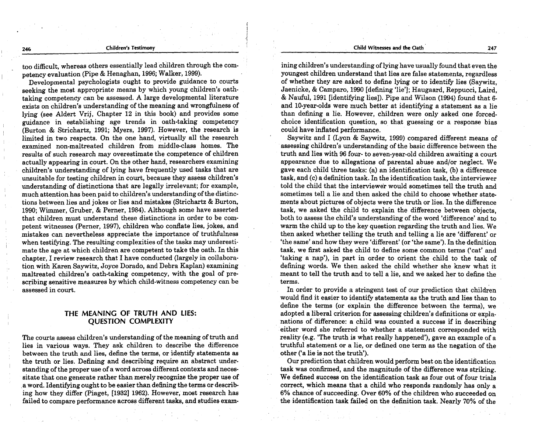246 Children's Testimony Child Witnesses and the Oath 247

too difficult, whereas others essentially lead children through the competency evaluation (Pipe & Henaghan, 1996; Walker, 1999).

Developmental psychologists ought to provide guidance to courts seeking the most appropriate means by which young children's oathtaking competency can be assessed. A large developmental literature exists on children's understanding of the meaning and wrongfulness of lying (see Aldert Vrij, Chapter 12 in this book) and provides some guidance in establishing age trends in oath-taking competency (Burton & Strichartz, 1991; Myers, 1997). However, the research is limited in two respects. On the one hand, virtually all the research examined non-maltreated children from middle-class homes. The results of such research may overestimate the competence of children actually appearing in court. On the other hand, researchers examining children's understanding of lying have frequently used tasks that are unsuitable for testing children in court, because they assess children's understanding of distinctions that are legally irrelevant; for example, much attention has been paid to children's understanding of the distinctions between lies and jokes or lies and mistakes (Strichartz & Burton, 1990;Wimmer, Gruber, & Perner, 1984).Although some have asserted that children must understand these distinctions in order to be competent witnesses (Perner, 1997), children who conflate lies, jokes, and mistakes can nevertheless appreciate the importance of truthfulness when testifying. The resulting complexities of the tasks may underestimate the age at which children are competent to take the oath. In this chapter, I review research that I have conducted (largely in collaboration with Karen Saywitz, Joyce Dorado, and Debra Kaplan) examining maltreated children's oath-taking competency, with the goal of prescribing sensitive measures by which child-witness competency can be assessed in court.

### **THE MEANING OF TRUTH AND LIES: QUESTION COMPLEXITY**

The courts assess children's understanding of the meaning of truth and lies in various ways. They ask children to describe the difference between the truth and lies, define the terms, or identify statements as the truth or lies. Defining and describing require an abstract understanding of the proper use of a word across different contexts and necessitate that one generate rather than merely recognize the proper use of a word. Identifying ought to be easier than defining the terms or describing how they differ (Piaget, [1932] 1962). However, most research has failed to compare performance across different tasks, and studies examining children's understanding of lying have usually found that even the youngest children understand that lies are false statements, regardless of whether they are asked to define lying or to identify lies (Saywitz, Jaenicke, & Camparo, 1990 [defining 'lie']; Haugaard, Reppucci, Laird, & Nauful, 1991 [identifying lies]). Pipe and Wilson (1994) found that 6and 10-year-oldswere much better at identifying a statement as a lie than defining a lie. However, children were only asked one forcedchoice identification question, so that guessing or a response bias could have inflated performance.

Savwitz and I (Lyon & Savwitz, 1999) compared different means of assessing children's understanding of the basic difference between the truth and lies with 96 four- to seven-year-old children awaiting a court appearance due to allegations of parental abuse and/or neglect. We gave each child three tasks: (a) an identification task, (b) a difference task, and (c) a definition task. In the identification task, the interviewer told the child that the interviewer would sometimes tell the truth and sometimes tell a lie and then asked the child to choose whether statements about pictures of objects were the truth or lies. In the difference task, we asked the child to explain the difference between objects, both to assess the child's understanding of the word 'difference' and to warm the child up to the key question regarding the truth and lies. We then asked whether telling the truth and telling a lie are 'different' or 'the same' and how they were 'different' (or 'the same'). In the definition task, we first asked the child to define some common terms ('cat' and 'taking a nap'), in part in order to orient the child to the task of defining words. We then asked the child whether she knew what it meant to tell the truth and to tell a lie, and we asked her to define the terms.

In order to provide a stringent test of our prediction that children would find it easier to identify statements as the truth and lies than to define the terms (or explain the difference between the terms), we adopted a liberal criterion for assessing children's definitions or explanations of difference: a child was counted a success if in describing either word she referred to whether a statement corresponded with reality (e.g. 'The truth is what really happened'), gave an example of a truthful statement or a lie, or defined one term as the negation of the other ('a lie is not the truth').

Our prediction that children would perform best on the identification task was confirmed, and the magnitude of the difference was striking. We defined success on the identification task as four out of four trials correct, which means that a child who responds randomly has only a 6% chance of succeeding. Over 60% of the children who succeeded on the identification task failed on the definition task. Nearly 70% of the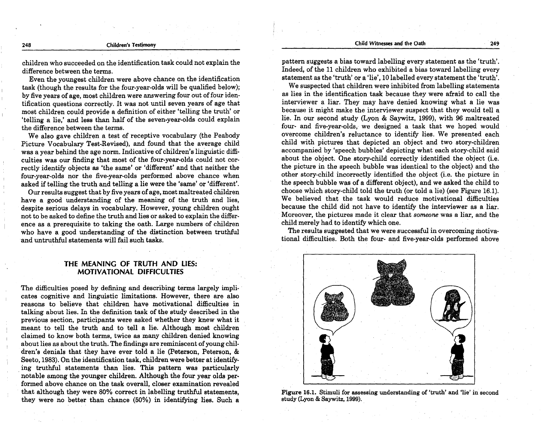children who succeeded on the identification task could not explain the difference between the terms.

Even the youngest children were above chance on the identification task (though the results for the four-year-olds will be qualified below); by five years of age, most children were answering four out of four identification questions correctly. It was not until seven years of age that most children could provide a definition of either 'telling the truth' or 'telling a lie,' and less than half of the seven-year-olds could explain the difference between the terms.

We also gave children a test of receptive vocabulary (the Peabody Picture Vocabulary Test-Revised), and found that the average child was a year behind the age norm. Indicative of children's linguistic diffi· culties was our finding that most of the four-year-olds could not correctly identify objects as 'the same' or 'different' and that neither the four-year-olds nor the five-year-olds performed above chance when asked if telling the truth and telling a lie were the 'same' or 'different'.

Our results suggest that by five years of age, most maltreated children have a good understanding of the meaning of the truth and lies, despite serious delays in vocabulary. However, young children ought not to be asked to define the truth and lies or asked to explain the difference as a prerequisite to taking the oath. Large numbers of children who have a good understanding of the distinction between truthful and untruthful statements will fail such tasks.

#### **THE MEANING OF TRUTH AND LIES: MOTIVATIONAL DIFFICULTIES**

The difficulties posed by defining and describing terms largely implicates cognitive and linguistic limitations. However, there are also reasons to believe that children have motivational difficulties in talking about lies. In the definition task of the study described in the previous section, participants were asked whether they knew what it meant to tell the truth and to tell a lie. Although most children claimed to know both terms, twice as many children denied knowing about lies as about the truth. The findings are reminiscent of young children's denials that they have ever told a lie (Peterson, Peterson, & Seeto, 1983).On the identification task, children were better at identify- .ing truthful statements than lies. This pattern was particularly notable among the younger children. Although the four year olds per· formed above chance on the task overall, closer examination revealed that although they were 80% correct in labelling truthful statements, they were no better than chance (50%) in identifying lies. Such a

pattern suggests a bias toward labelling every statement as the 'truth'. Indeed, of the 11 children who exhibited a bias toward labelling every statement as the 'truth' or a 'lie', 10labelled every statement the 'truth' .

We suspected that children were inhibited from labelling statements as lies in the identification task because they were afraid to call the interviewer a liar. They may have denied knowing what a lie was because it might make the interviewer suspect that they would tell a lie. In our second study (Lyon & Saywitz, 1999), with 96 maltreated four- and five-year-olds, we designed a task that we hoped would overcome children's reluctance to identify lies. We presented each child with pictures that depicted an object and two story-children accompanied by 'speech bubbles' depicting what each story-child said about the object. One story-child correctly identified the object (i.e. the picture in the speech bubble was identical to the object) and the other story-child incorrectly identified the object (i.e. the picture in the speech bubble was of a different object), and we asked the child to choose which story-child told the truth (or told a lie) (see Figure 16.1). We believed that the task would reduce motivational difficulties because the child did not have to identify the interviewer as a liar. Moreover, the pictures made it clear that *someone* was a liar, and the child merely had to identify which one.

The results suggested that we were successful in overcoming motivational difficulties. Both the four- and five-year-olds performed above



Figure 16.1. Stimuli for assessing understanding of 'truth' and 'lie' in second study (Lyon & Saywitz, 1999).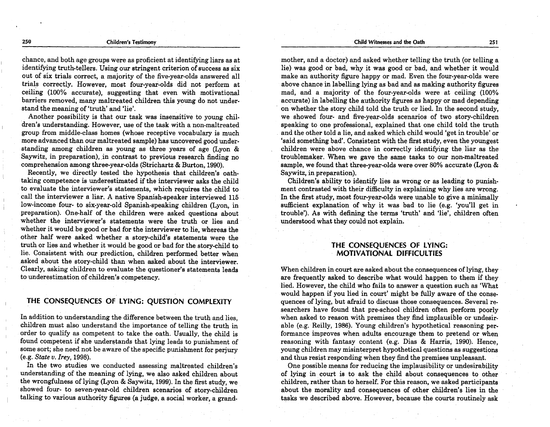chance, and both age groups were as proficient at identifying liars as at identifying truth-tellers. Using our stringent criterion of success as six out of six trials correct, a majority of the five-year-olds answered all trials correctly. However, most four-year-olds did not perform at ceiling (100% accurate), suggesting that even with motivational barriers removed, many maltreated children this young do not understand the meaning of 'truth' and 'lie'.

Another possibility is that our task was insensitive to young children's understanding. However, use of the task with a non-maltreated group from middle-class homes (whose receptive vocabulary is much more advanced than our maltreated sample) has uncovered good understanding among children as young as three years of age (Lyon & Saywitz, in preparation), in contrast to previous research finding no comprehension among three-year-olds (Strichartz & Burton, 1990).

Recently, we directly tested the hypothesis that children's oathtaking competence is underestimated if the interviewer asks the child to evaluate the interviewer's statements, which requires the child to call the interviewer a liar. A native Spanish-speaker interviewed 115 low-income four- to six-year-old Spanish-speaking children (Lyon, in preparation). One-half of the children were asked questions about whether the interviewer's statements were the truth or lies and whether it would be good or bad for the interviewer to lie, whereas the other half were asked whether a story-child's statements were the truth or lies and whether it would be good or bad for the story-child to lie. Consistent with our prediction, children performed better when asked about the story-child than when asked about the interviewer. Clearly, asking children to evaluate the questioner's statements leads to underestimation of children's competency.

#### **THE CONSEQUENCES OF lYING: QUESTION COMPLEXITY**

In addition to understanding the difference between the truth and lies, children must also understand the importance of telling the truth in order to qualify as competent to take the oath. Usually, the child is found competent if she understands that lying leads to punishment of some sort; she need not be aware of the specific punishment for perjury (e.g. *State v. Irey, 1998).*

In the two studies we conducted assessing maltreated children's understanding of the meaning of lying, we also asked children about the wrongfulness of lying (Lyon & Saywitz, 1999). In the first study, we showed four- to seven-year-old children scenarios of story-children talking to various authority figures (a judge, a social worker, a grandmother, and a doctor) and asked whether telling the truth (or telling a lie) was good or bad, why it was good or bad, and whether it would make an authority figure happy or mad. Even the four-year-olds were above chance in labelling lying as bad and as making authority figures mad, and a majority of the four-year-olds were at ceiling (100% accurate) in labelling the authority figures as happy or mad depending on whether the story child told the truth or lied. In the second study, we showed four- and five-year-olds scenarios of two story-children speaking to one professional, explained that one child told the truth and the other told a lie, and asked which child would 'get in trouble' or 'said something bad'. Consistent with the first study, even the youngest children were above chance in correctly identifying the liar as the troublemaker. When we gave the same tasks to our non-maltreated sample, we found that three-year-olds were over 80% accurate (Lyon & Saywitz, in preparation).

Children's ability to identify lies as wrong or as leading to punishment contrasted with their difficulty in explaining why lies are wrong. In the first study, most four-year-olds were unable to give a minimally sufficient explanation of why it was bad to lie (e.g. 'you'll get in trouble'). As with defining the terms 'truth' and 'lie', children often understood what they could not explain.

### **THE CONSEQUENCES OF lYING: MOTIVATIONAL DIFFICULTIES**

When children in court are asked about the consequences of lying, they are frequently asked to describe what would happen to them if they lied. However, the child who fails to answer a question such as 'What would happen if you lied in court' might be fully aware of the consequences of lying, but afraid to discuss those consequences. Several researchers have found that pre-school children often perform poorly when asked to reason with premises they find implausible or undesirable (e.g. Reilly, 1986).Young children's hypothetical reasoning performance improves when adults encourage them to pretend or when reasoning with fantasy content (e.g. Dias & Harris, 1990). Hence, young children may misinterpret hypothetical questions as suggestions and thus resist responding when they find the premises unpleasant.

One possible means for reducing the implausibility or undesirability of lying in court is to ask the child about consequences to other children, rather than to herself. For this reason, we asked participants about the morality and consequences of other children's lies in the tasks we described above. However, because the courts routinely ask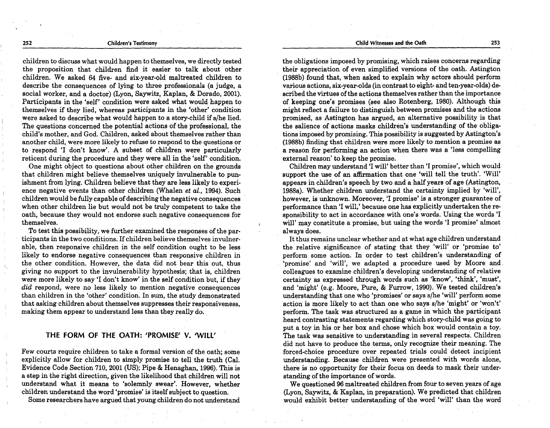children to discuss what would happen to themselves, we directly tested the proposition that children find it easier to talk about other children. We asked 64 five- and six-year-old maltreated children to describe the consequences of lying to three professionals (a judge, a social worker, and a doctor) (Lyon, Saywitz, Kaplan, & Dorado, 2001). Participants in the 'self' condition were asked what would happen to themselves if they lied, whereas participants in the 'other' condition were asked to describe what would happen to a story-child if s/he lied. The questions concerned the potential actions of the professional, the child's mother, and God. Children, asked about themselves rather than another child, were more likely to refuse to respond to the questions or to respond 'I don't know'. A subset of children were particularly reticent during the procedure and they were all in the 'self' condition.

One might object to questions about other children on the grounds that children might believe themselves uniquely invulnerable to punishment from lying. Children believe that they are less likely to experience negative events than other children (Whalen *et al.*, 1994). Such children would be fully capable of describing the negative consequences when other children lie but would not be truly competent to take the oath, because they would not endorse such negative consequences for themselves.

To test this possibility, we further examined the responses of the participants in the two conditions. If children believe themselves invulnerable, then responsive children in the self condition ought to be less likely to endorse negative consequences than responsive children in the other condition. However, the data did not bear this out, thus giving no support to the invulnerability hypothesis; that is, children were more likely to say 'I don't know' in the self condition but, if they did respond, were no less likely to mention negative consequences than children in the 'other' condition: In sum, the study demonstrated that asking children about themselves suppresses their responsiveness, making them appear to understand less than they really do.

#### **THE FORM OF THE OATH: 'PROMISE' V. Will'**

Few courts require children to take a formal version of the oath; some explicitly allow for children to simply promise to tell the truth (Cal. Evidence Code Section 710, 2001 (US); Pipe & Henaghan, 1996). This is a step in the right direction, given the likelihood that children will not understand what it means to 'solemnly swear'. However, whether children understand the word 'promise' is itself subject to question.

Some researchers have argued that young children do not understand

the obligations imposed by promising, which raises concerns regarding their appreciation of even simplified versions of the oath. Astington (1988b) found that, when asked to explain why actors should perform various actions, six-year-olds(in contrast to eight- and ten-year-olds) described the virtues of the actions themselves rather than the importance of keeping one's promises (see also Rotenberg, 1980).Although this might reflect a failure to distinguish between promises and the actions promised, as Astington has argued, an alternative possibility is that the salience of actions masks children's understanding of the obligations imposed by promising. This possibility is suggested by Astington's (1988b) finding that children were more likely to mention a promise as a reason for performing an action when there was a 'less compelling external reason' to keep the promise.

Children may understand 'I will' better than 'I promise', which would support the use of an affirmation that one 'will tell the truth'. 'Will' appears in children's speech by two and a half years of age (Astington, 1988a).Whether children understand the certainty implied by 'will', however, is unknown. Moreover, 'I promise' is a stronger guarantee of performance than 'I will,' because one has explicitly undertaken the responsibility to act in accordance with one's words. Using the words 'I will' may constitute a promise, but using the words 'I promise' almost always does.

It thus remains unclear whether and at what age children understand the relative significance of stating that they 'will' Or 'promise to' perform some action. In order to test children's understanding of 'promise' and 'will', we adapted a procedure used by Moore and. colleagues to examine children's developing understanding of relative certainty as expressed through words such as 'know', 'think', 'must', and 'might' (e.g. Moore, Pure, & Furrow, 1990). We tested children's understanding that one who 'promises' or says s/he 'will' perform some action is more likely to act than one who says s/he 'might' or 'won't' perform. The task was structured as a game in which the participant heard contrasting statements regarding which story-child was going to put a toy in his or her box and chose which box would contain a toy. The task was sensitive to understanding in several respects. Children did not have to produce the terms, only recognize their meaning. The forced-choice procedure over repeated trials could detect incipient understanding. Because children were presented with words alone, there is no opportunity for their focus on deeds to mask their understanding of the importance of words.

We questioned 96 maltreated children from four to seven years of age (Lyon, Saywitz, & Kaplan, in preparation). We predicted that children would exhibit better understanding of the word 'will' than the word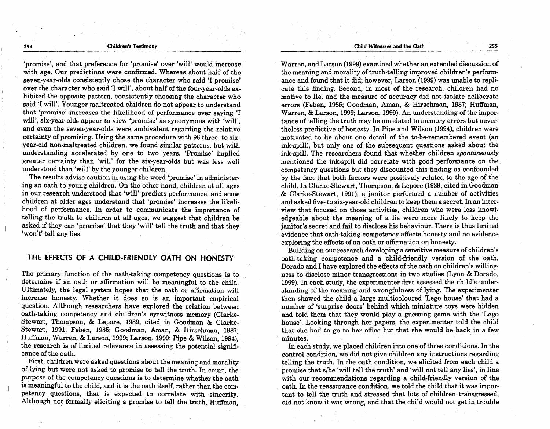'promise', and that preference for 'promise' over 'will' would increase with age. Our predictions were confirmed. Whereas about half of the seven·year-olds consistently chose the character who said 'I promise' over the character who said 'I will', about half of the four-year-olds exhibited the opposite pattern, consistently choosing the character who said 'I will'. Younger maltreated children do not appear to understand that 'promise' increases the likelihood of performance over saying 'I will', six-year-olds appear to view 'promise' as synonymous with 'will', and even the seven-year-olds were ambivalent regarding the relative certainty of promising. Using the same procedure with 96 three- to sixyear-old non·maltreated children, we found similar patterns, but with understanding accelerated by one to two years. 'Promise' implied greater certainty than 'will' for the six-year-olds but was less well understood than 'will' by the younger children.

The results advise caution in using the word 'promise' in administering an oath to young children. On the other hand, children at all ages in our research understood that 'will' predicts performance, and some children at older ages understand that 'promise' increases the likelihood of performance. In order to communicate the importance of telling the truth to children at all ages, we suggest that children be asked if they can 'promise' that they 'will' tell the truth and that they 'won't' tell any lies.

#### **THE EFFECTSOF A CHILD-FRIENDLY OATH ON HONESTY**

The primary function of the oath-taking competency questions is to determine if an oath or affirmation will be meaningful to the child. Ultimately, the legal system hopes that the oath or affirmation will increase honesty. Whether it does so is an important empirical question. Although researchers have explored the relation between oath-taking competency and children's eyewitness memory (Clarke-Stewart, Thompson, & Lepore, 1989, cited in Goodman & Clarke-Stewart, 1991; Feben, 1985; Goodman, Aman, & Hirschman, 1987; Huffman, Warren, & Larson, 1999; Larson, 1999; Pipe & Wilson, 1994), the research is of limited relevance in assessing the potential significance of the oath.

First, children were asked questions about the meaning and morality of lying but were not asked to promise to tell the truth. In court, the purpose of the competency questions is to determine whether the oath is meaningful to the child, and it is the oath itself, rather than the competency questions, that is expected. to correlate with sincerity. Although not formally eliciting a promise to tell the truth, Huffman,

Warren, and Larson (1999) examined whether an extended discussion of the meaning and morality of truth-telling improved children's performance and found that it did; however, Larson (1999) was unable to replicate this finding. Second, in most of the research, children had no motive to lie, and the measure of accuracy did not isolate deliberate errors (Feben, 1985; Goodman, Aman, & Hirschman, 1987; Huffman, Warren, & Larson, 1999; Larson, 1999). An understanding of the importance of telling the truth may be unrelated to memory errors but nevertheless predictive of honesty. In Pipe and Wilson (1994), children were motivated to lie about one detail of the to-be-remembered event (an ink-spill), but only one of the subsequent questions asked about the ink-spill. The researchers found that whether children *spontaneously* mentioned the ink-spill did correlate with good performance on the competency questions but they discounted this finding as confounded by the fact that both factors were positively related to the age of the child. In Clarke-Stewart, Thompson, & Lepore (1989, cited in Goodman & Clarke-Stewart, 1991), a janitor performed a number of activities and asked five-to six-year-old children to keep them a secret. In an interview that focused on those activities, children who were less knowledgeable about the meaning of a lie were more likely to keep the janitor's secret and fail to disclose his behaviour. There is thus limited evidence that oath-taking competency affects honesty and no evidence exploring the effects of an oath or affirmation on honesty.

Building on our research developing a sensitive measure of children's oath-taking competence and a child-friendly version of the oath, Dorado and I have explored the effects of the oath on children's willingness to disclose minor transgressions in two studies (Lyon & Dorado, 1999).In each study, the experimenter first assessed the child's understanding of the meaning and wrongfulness of lying. The experimenter then showed the child a large multicoloured 'Lego house' that had a number of 'surprise doors' behind which miniature toys were hidden and told them that they would playa guessing game with the 'Lego house'. Looking through her papers, the experimenter told the child that she had to go to her office but that she would be back in a few minutes.

In each study, we placed children into one of three conditions. In the control condition, we did not give children any instructions regarding telling the truth. In the oath condition, we elicited from each child a promise that s/he 'will tell the truth' and 'will not tell any lies', in line with our recommendations regarding a child-friendly version of the oath. In the reassurance condition, we told the child that it was important to tell the truth and stressed that lots of children transgressed, did not know it was wrong, and that the child would not get in trouble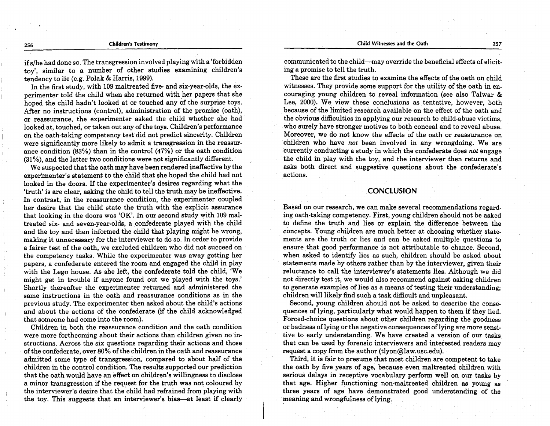ifs/he had done so. The transgression involved playing with a 'forbidden toy', similar to a number of other studies examining children's tendency to lie (e.g. Polak & Harris, 1999).

In the first study, with 109 maltreated five- and six-year-olds, the experimenter told the child when she returned with her papers that she hoped the child hadn't looked at or touched any of the surprise toys. After no instructions (control), administration of the promise (oath), or reassurance, the experimenter asked the child whether she had looked at, touched, or taken out any of the toys. Children's performance on the oath-taking competency test did not predict sincerity. Children were significantly more likely to admit a transgression in the reassurance condition (83%) than in the control (47%) or the oath condition (31%), and the latter two conditions were not significantly different.

We suspected that the oath may have been rendered ineffective by the experimenter's statement to the child that she hoped the child had not looked in the doors. If the experimenter's desires regarding what the 'truth' is are clear, asking the child to tell the truth may be ineffective. In contrast, in the reassurance condition, the experimenter coupled her desire that the child state the truth with the explicit assurance that looking in the doors was 'OK'. In our second study with 109maltreated six- and seven-year-olds, a confederate played with the child and the toy and then informed the child that playing might be wrong, making it unnecessary for the interviewer to do so. In order to provide a fairer test of the oath, we excluded children who did not succeed on the competency tasks. While the experimenter was away getting her papers, a confederate entered the room and engaged the child in play with the Lego house. As she left, the confederate told the child, 'We might get in trouble if anyone found out we played with the toys.' Shortly thereafter the experimenter returned and administered the same instructions in the oath and reassurance conditions as in the previous study. The experimenter then asked about the child's actions and about the actions of the confederate (if the child acknowledged that someone had come into the room).

Children in both the reassurance condition and the oath condition were more forthcoming about their actions than children given no instructions. Across the six questions regarding their actions and those ofthe confederate, over 80% ofthe children in the oath and reassurance admitted some type of transgression, compared to about half of the children in the control condition. The results supported our prediction that the oath would have an effect on children's willingness to disclose a minor transgression if the request for the truth was not coloured by the interviewer's desire that the child had refrained from playing with the toy. This suggests that an interviewer's bias-at least if clearly

communicated to the child-may override the beneficial effects of eliciting a promise to tell the truth.

These are the first studies to examine the effects of the oath on child witnesses. They provide some support for the utility of the oath in encouraging young children to reveal information (see also Talwar & Lee, 2000). We view these conclusions as tentative, however, both because of the limited research available on the effect of the oath and the obvious difficulties in applying our research to child-abuse victims, who surely have stronger motives to both conceal and to reveal abuse. Moreover, we do not know the effects of the oath or reassurance on children who have *not* been involved in any wrongdoing. We are currently conducting a study in which the confederate does not engage the child in play with the toy, and the interviewer then returns and asks both direct and suggestive questions about the confederate's actions.

#### **CONCLUSION**

Based on our research, we can make several recommendations regarding oath-taking competency. First, young children should not be asked to define the truth and lies or explain the difference between the concepts. Young children are much better at choosing whether statements are the truth or lies and can be asked multiple questions to ensure that good performance is not attributable to chance. Second, when asked to identify lies as such, children should be asked about statements made by others rather than by the interviewer, given their reluctance to call the interviewer's statements lies. Although we did not directly test it, we would also recommend against asking children to generate examples of lies as a means of testing their understanding; children will likely find such a task difficult and unpleasant.

Second, young children should not be asked to describe the consequences of lying, particularly what would happen to them if they lied. Forced-choice questions about other children regarding the goodness or badness oflying or the negative consequences oflying are more sensitive to early understanding. We have created a version of our tasks that can be used by forensic interviewers and interested readers may request a copy from the author (tlyon@law.usc.edu).

Third, it is fair to presume that most children are competent to take the oath by five years of age, because even maltreated children with serious delays in receptive vocabulary perform well on our tasks by that age. Higher functioning non-maltreated children as young as three years of age have demonstrated good understanding of the meaning and wrongfulness of lying.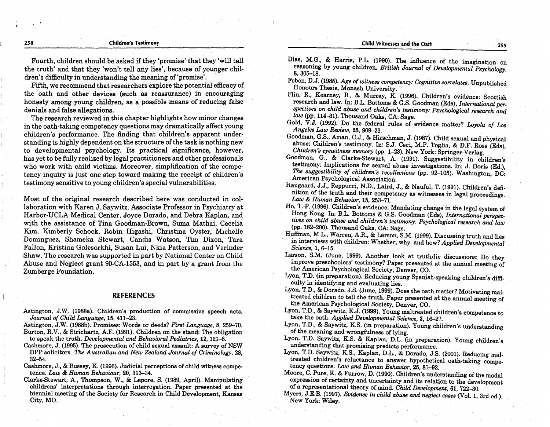<sup>258</sup> Children's Testimony Child Witnesses and the Oath <sup>259</sup>

Fourth, children should be asked if they 'promise' that they 'will tell the truth' and that they 'won't tell any lies', because of younger children's difficulty in understanding the meaning of'promise'.

Fifth, we recommend that researchers explore the potential efficacyof the oath and other devices (such as reassurance) in encouraging honesty among young children, as a possible means of reducing false denials and false allegations.

The research reviewed in this chapter highlights how minor changes in the oath-taking competency questions may dramatically affect young children's performance. The finding that children's apparent understanding is highly dependent on the structure of the task is nothing new to developmental psychology. Its practical significance, however, has yet to be fully realized by legal practitioners and other professionals who work with child victims. Moreover, simplification of the competency inquiry is just one step toward making the receipt of children's testimony sensitive to young children's special vulnerabilities.

Most of the original research described here was conducted in collaboration with Karen J. Saywitz, Associate Professor in Psychiatry at Harbor-UCLA Medical Center, Joyce Dorado, and Debra Kaplan, and with the assistance of Tina Goodman-Brown, Suma Mathai, Cecelia Kim, Kimberly Schock, Robin Higashi, Christina Oyster, Michelle Dominguez, Shameka Stewart, Candis Watson, Tim Dixon, Tara Fallon, Kristina Golesorkhi, Susan Lui, Nkia Patterson, and Verinder Shaw. The research was supported in part by National Center on Child Abuse and Neglect grant 90-CA-1553, and in part by a grant from the Zumberge Foundation.

#### **REFERENCES**

Astington, J.W. (1988a). Children's production of commissive speech acts. *Journal of Child Language,* 15, 411-23.

Astington, J.W. (1988b). Promises: Words or deeds? *First Language,* 8, 259-70. Burton, R.V., & Strichartz, A.F. (1991). Children on the stand: The obligation to speak the truth. *Developmental and Behavioral Pediatrics,* 12, 121-8.

Cashmore, J. (1995). The prosecution of child sexual assault: A survey of NSW DPP solicitors. *The Australian and New Zealand Journal of Criminology, 28,* 32-54.

Cashmore, J., & Bussey, K. (1996). Judicial perceptions of child witness competence. *Law* & *Human Behaviour,* 20, 313-34.

Clarke-Stewart, A., Thompson, W., & Lepore, S. (1989, April). Manipulating childrens' interpretations through interrogation. Paper presented at the biennial meeting of the Society for Research in Child Development, Kansas City, MO.

| Dias, M.G., & Harris, P.L. (1990). The influence of the imagination on    |  |  |  |  |  |  |
|---------------------------------------------------------------------------|--|--|--|--|--|--|
| reasoning by young children. British Journal of Developmental Psychology, |  |  |  |  |  |  |
| $8.305 - 18.$                                                             |  |  |  |  |  |  |

Feben, D.J. (1985). *Age of witness competency: Cognitive correlates.* Unpublished Honours Thesis, Monash University.

Flin, R., Kearney, R, & Murray, K (1996). Children's evidence: Scottish research and law. In: B.L. Bottoms & G.S. Goodman (Eds), *International perspectives on child abuse and children's testimony: Psychological research and law* (pp. 114-31). Thousand Oaks, CA: Sage.

Gold, V.J. (1992). Do the federal rules of evidence matter? *Loyola of Los Angeles Law Review,* 25, 909-23.

Goodman, G.S., Aman, C.J., & Hirschman, J. (1987). Child sexual and physical abuse: Children's testimony. In: S.J. Ceci, M.P. Toglia, & D.F. Ross (Eds), *Children's eyewitness memory* (pp. 1-23). New York: Springer-Verlag.

Goodman, G., & Clarke-Stewart, A. (1991). Suggestibility in children's testimony: Implications for sexual abuse investigations. In: J. Doris (Ed.), *The suggestibility of children's recollections* (pp. 92-105). Washington, DC: American Psychological Association.

Haugaard, J.J., Reppucci, N.D., Laird, J., & Nauful, T. (1991). Children's defi. nition of the truth and their competency as witnesses in legal proceedings. *Law* & *Human Behavior,* 15, 253-71.

Ho, T.-P. (1996). Children's evidence: Mandating change in the legal system of Hong Kong. In: B.L. Bottoms & G.S. Goodman (Eds), *International perspec. tives on child abuse and children's testimony: Psychological research and law* (pp. 182-200). Thousand Oaks, CA: Sage.

Huffman, M.L., Warren, A.R., & Larson, S.M. (1999). Discussing truth and lies in interviews with children: Whether, why, and how? *Applied Developmental Science,* I, 6-15.

 $\mu$ arson, S.M. (June, 1999). Another look at truth/lie discussions: Do they improve preschoolers' testimony? Paper presented at the annual meeting of the American Psychological Society, Denver, CO.

Lyon, T.D. (in preparation). Reducing young Spanish-speaking children's difficulty in identifying and evaluating lies.

Lyon, T.D., & Dorado, J.S. (June, 1999). Does the oath matter? Motivating maltreated children to tell the truth. Paper presented at the annual meeting of the American Psychological Society, Denver, CO.

Lyon,T.D., & Saywitz, KJ. (1999). Young maltreated children's competence to take the oath. *Applied Developmental Science,* 3, 16-27.

Lyon, T.D., & Saywitz, KS. (in preparation). Young children's understanding of the meaning and wrongfulness of lying.

Lyon, T.D. Saywitz, KS. & Kaplan, D.L. (in preparation). Young children's understanding that promising predicts performance.

Lyon, T.D. Saywitz, K.S., Kaplan, D.L., & Dorado, J.S. (2001). Reducing maltreated children's reluctance to answer hypothetical oath-taking competency questions. *Law and Human Behavior,* 25, 81-92.

Moore, C. Pure, K & Furrow, D. (1990). Children's understanding of the modal expression of certainty and uncertainty and its relation to the development of a representational theory of mind. *Child Development,* 61, 722-30.

Myers, J.E.B. (1997). *Evidence in child abuse and neglect cases* (Vol. I, 3rd ed.). New York: Wiley.